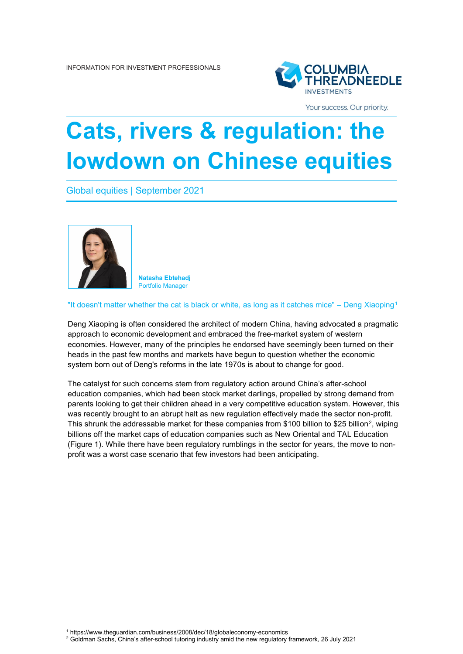

Your success. Our priority.

# **Cats, rivers & regulation: the lowdown on Chinese equities**

Global equities | September 2021



**Natasha Ebtehadj** Portfolio Manager

"It doesn't matter whether the cat is black or white, as long as it catches mice" – Deng Xiaoping[1](#page-0-0)

Deng Xiaoping is often considered the architect of modern China, having advocated a pragmatic approach to economic development and embraced the free-market system of western economies. However, many of the principles he endorsed have seemingly been turned on their heads in the past few months and markets have begun to question whether the economic system born out of Deng's reforms in the late 1970s is about to change for good.

The catalyst for such concerns stem from regulatory action around China's after-school education companies, which had been stock market darlings, propelled by strong demand from parents looking to get their children ahead in a very competitive education system. However, this was recently brought to an abrupt halt as new regulation effectively made the sector non-profit. This shrunk the addressable market for these companies from \$100 billion to \$[2](#page-0-1)5 billion<sup>2</sup>, wiping billions off the market caps of education companies such as New Oriental and TAL Education (Figure 1). While there have been regulatory rumblings in the sector for years, the move to nonprofit was a worst case scenario that few investors had been anticipating.

<sup>1</sup> https://www.theguardian.com/business/2008/dec/18/globaleconomy-economics

<span id="page-0-1"></span><span id="page-0-0"></span><sup>2</sup> Goldman Sachs, China's after-school tutoring industry amid the new regulatory framework, 26 July 2021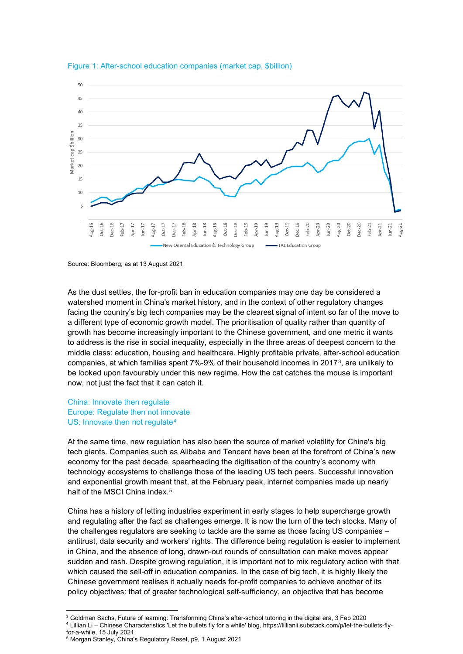



Source: Bloomberg, as at 13 August 2021

As the dust settles, the for-profit ban in education companies may one day be considered a watershed moment in China's market history, and in the context of other regulatory changes facing the country's big tech companies may be the clearest signal of intent so far of the move to a different type of economic growth model. The prioritisation of quality rather than quantity of growth has become increasingly important to the Chinese government, and one metric it wants to address is the rise in social inequality, especially in the three areas of deepest concern to the middle class: education, housing and healthcare. Highly profitable private, after-school education companies, at which families spent 7%-9% of their household incomes in 2017[3,](#page-1-0) are unlikely to be looked upon favourably under this new regime. How the cat catches the mouse is important now, not just the fact that it can catch it.

## China: Innovate then regulate Europe: Regulate then not innovate US: Innovate then not regulate<sup>[4](#page-1-1)</sup>

At the same time, new regulation has also been the source of market volatility for China's big tech giants. Companies such as Alibaba and Tencent have been at the forefront of China's new economy for the past decade, spearheading the digitisation of the country's economy with technology ecosystems to challenge those of the leading US tech peers. Successful innovation and exponential growth meant that, at the February peak, internet companies made up nearly half of the MSCI China index.<sup>[5](#page-1-2)</sup>

China has a history of letting industries experiment in early stages to help supercharge growth and regulating after the fact as challenges emerge. It is now the turn of the tech stocks. Many of the challenges regulators are seeking to tackle are the same as those facing US companies – antitrust, data security and workers' rights. The difference being regulation is easier to implement in China, and the absence of long, drawn-out rounds of consultation can make moves appear sudden and rash. Despite growing regulation, it is important not to mix regulatory action with that which caused the sell-off in education companies. In the case of big tech, it is highly likely the Chinese government realises it actually needs for-profit companies to achieve another of its policy objectives: that of greater technological self-sufficiency, an objective that has become

<span id="page-1-1"></span><span id="page-1-0"></span><sup>3</sup> Goldman Sachs, Future of learning: Transforming China's after-school tutoring in the digital era, 3 Feb 2020 <sup>4</sup> Lillian Li – Chinese Characteristics 'Let the bullets fly for a while' blog, https://lillianli.substack.com/p/let-the-bullets-flyfor-a-while, 15 July 2021

<span id="page-1-2"></span><sup>5</sup> Morgan Stanley, China's Regulatory Reset, p9, 1 August 2021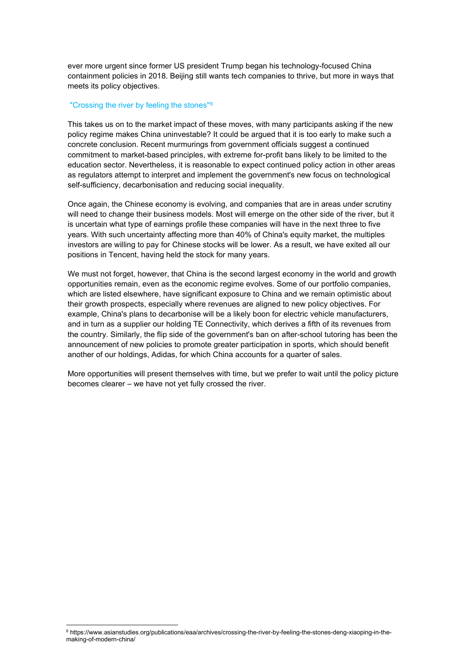ever more urgent since former US president Trump began his technology-focused China containment policies in 2018. Beijing still wants tech companies to thrive, but more in ways that meets its policy objectives.

#### "Crossing the river by feeling the stones"[6](#page-2-0)

This takes us on to the market impact of these moves, with many participants asking if the new policy regime makes China uninvestable? It could be argued that it is too early to make such a concrete conclusion. Recent murmurings from government officials suggest a continued commitment to market-based principles, with extreme for-profit bans likely to be limited to the education sector. Nevertheless, it is reasonable to expect continued policy action in other areas as regulators attempt to interpret and implement the government's new focus on technological self-sufficiency, decarbonisation and reducing social inequality.

Once again, the Chinese economy is evolving, and companies that are in areas under scrutiny will need to change their business models. Most will emerge on the other side of the river, but it is uncertain what type of earnings profile these companies will have in the next three to five years. With such uncertainty affecting more than 40% of China's equity market, the multiples investors are willing to pay for Chinese stocks will be lower. As a result, we have exited all our positions in Tencent, having held the stock for many years.

We must not forget, however, that China is the second largest economy in the world and growth opportunities remain, even as the economic regime evolves. Some of our portfolio companies, which are listed elsewhere, have significant exposure to China and we remain optimistic about their growth prospects, especially where revenues are aligned to new policy objectives. For example, China's plans to decarbonise will be a likely boon for electric vehicle manufacturers, and in turn as a supplier our holding TE Connectivity, which derives a fifth of its revenues from the country. Similarly, the flip side of the government's ban on after-school tutoring has been the announcement of new policies to promote greater participation in sports, which should benefit another of our holdings, Adidas, for which China accounts for a quarter of sales.

More opportunities will present themselves with time, but we prefer to wait until the policy picture becomes clearer – we have not yet fully crossed the river.

<span id="page-2-0"></span><sup>6</sup> https://www.asianstudies.org/publications/eaa/archives/crossing-the-river-by-feeling-the-stones-deng-xiaoping-in-themaking-of-modern-china/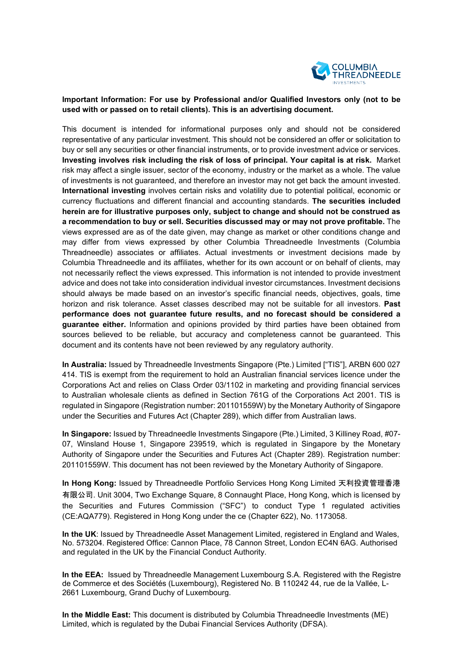

## **Important Information: For use by Professional and/or Qualified Investors only (not to be used with or passed on to retail clients). This is an advertising document.**

This document is intended for informational purposes only and should not be considered representative of any particular investment. This should not be considered an offer or solicitation to buy or sell any securities or other financial instruments, or to provide investment advice or services. **Investing involves risk including the risk of loss of principal. Your capital is at risk.** Market risk may affect a single issuer, sector of the economy, industry or the market as a whole. The value of investments is not guaranteed, and therefore an investor may not get back the amount invested. **International investing** involves certain risks and volatility due to potential political, economic or currency fluctuations and different financial and accounting standards. **The securities included herein are for illustrative purposes only, subject to change and should not be construed as a recommendation to buy or sell. Securities discussed may or may not prove profitable.** The views expressed are as of the date given, may change as market or other conditions change and may differ from views expressed by other Columbia Threadneedle Investments (Columbia Threadneedle) associates or affiliates. Actual investments or investment decisions made by Columbia Threadneedle and its affiliates, whether for its own account or on behalf of clients, may not necessarily reflect the views expressed. This information is not intended to provide investment advice and does not take into consideration individual investor circumstances. Investment decisions should always be made based on an investor's specific financial needs, objectives, goals, time horizon and risk tolerance. Asset classes described may not be suitable for all investors. **Past performance does not guarantee future results, and no forecast should be considered a guarantee either.** Information and opinions provided by third parties have been obtained from sources believed to be reliable, but accuracy and completeness cannot be guaranteed. This document and its contents have not been reviewed by any regulatory authority.

**In Australia:** Issued by Threadneedle Investments Singapore (Pte.) Limited ["TIS"], ARBN 600 027 414. TIS is exempt from the requirement to hold an Australian financial services licence under the Corporations Act and relies on Class Order 03/1102 in marketing and providing financial services to Australian wholesale clients as defined in Section 761G of the Corporations Act 2001. TIS is regulated in Singapore (Registration number: 201101559W) by the Monetary Authority of Singapore under the Securities and Futures Act (Chapter 289), which differ from Australian laws.

**In Singapore:** Issued by Threadneedle Investments Singapore (Pte.) Limited, 3 Killiney Road, #07- 07, Winsland House 1, Singapore 239519, which is regulated in Singapore by the Monetary Authority of Singapore under the Securities and Futures Act (Chapter 289). Registration number: 201101559W. This document has not been reviewed by the Monetary Authority of Singapore.

**In Hong Kong:** Issued by Threadneedle Portfolio Services Hong Kong Limited 天利投資管理香港 有限公司. Unit 3004, Two Exchange Square, 8 Connaught Place, Hong Kong, which is licensed by the Securities and Futures Commission ("SFC") to conduct Type 1 regulated activities (CE:AQA779). Registered in Hong Kong under the ce (Chapter 622), No. 1173058.

**In the UK**: Issued by Threadneedle Asset Management Limited, registered in England and Wales, No. 573204. Registered Office: Cannon Place, 78 Cannon Street, London EC4N 6AG. Authorised and regulated in the UK by the Financial Conduct Authority.

**In the EEA:** Issued by Threadneedle Management Luxembourg S.A. Registered with the Registre de Commerce et des Sociétés (Luxembourg), Registered No. B 110242 44, rue de la Vallée, L-2661 Luxembourg, Grand Duchy of Luxembourg.

**In the Middle East:** This document is distributed by Columbia Threadneedle Investments (ME) Limited, which is regulated by the Dubai Financial Services Authority (DFSA).